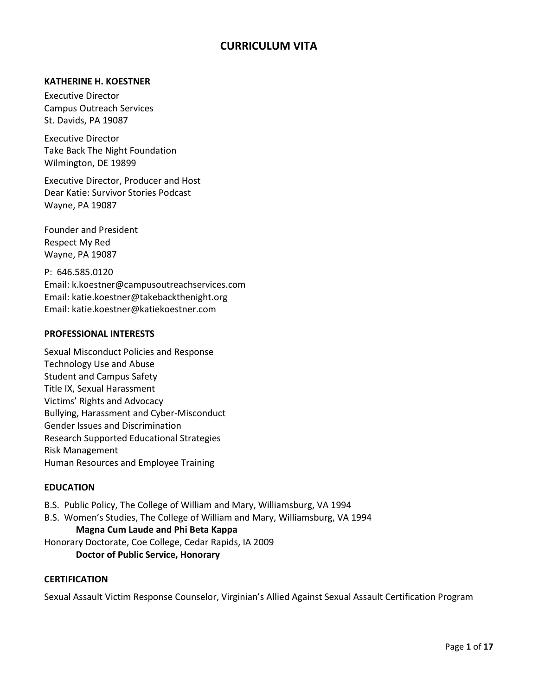# **CURRICULUM VITA**

#### **KATHERINE H. KOESTNER**

Executive Director Campus Outreach Services St. Davids, PA 19087

Executive Director Take Back The Night Foundation Wilmington, DE 19899

Executive Director, Producer and Host Dear Katie: Survivor Stories Podcast Wayne, PA 19087

Founder and President Respect My Red Wayne, PA 19087

P: 646.585.0120 Email: k.koestner@campusoutreachservices.com Email: katie.koestner@takebackthenight.org Email: katie.koestner@katiekoestner.com

#### **PROFESSIONAL INTERESTS**

Sexual Misconduct Policies and Response Technology Use and Abuse Student and Campus Safety Title IX, Sexual Harassment Victims' Rights and Advocacy Bullying, Harassment and Cyber-Misconduct Gender Issues and Discrimination Research Supported Educational Strategies Risk Management Human Resources and Employee Training

#### **EDUCATION**

- B.S. Public Policy, The College of William and Mary, Williamsburg, VA 1994
- B.S. Women's Studies, The College of William and Mary, Williamsburg, VA 1994

#### **Magna Cum Laude and Phi Beta Kappa**

Honorary Doctorate, Coe College, Cedar Rapids, IA 2009

### **Doctor of Public Service, Honorary**

### **CERTIFICATION**

Sexual Assault Victim Response Counselor, Virginian's Allied Against Sexual Assault Certification Program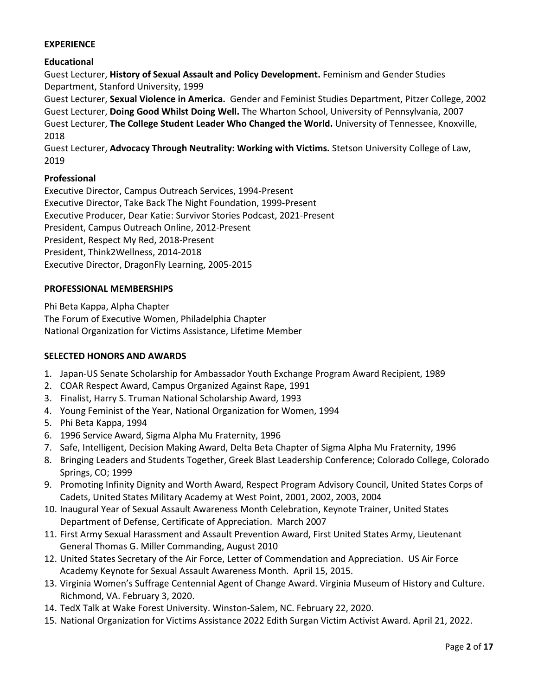### **EXPERIENCE**

### **Educational**

Guest Lecturer, **History of Sexual Assault and Policy Development.** Feminism and Gender Studies Department, Stanford University, 1999

Guest Lecturer, **Sexual Violence in America.** Gender and Feminist Studies Department, Pitzer College, 2002 Guest Lecturer, **Doing Good Whilst Doing Well.** The Wharton School, University of Pennsylvania, 2007 Guest Lecturer, **The College Student Leader Who Changed the World.** University of Tennessee, Knoxville, 2018

Guest Lecturer, **Advocacy Through Neutrality: Working with Victims.** Stetson University College of Law, 2019

### **Professional**

Executive Director, Campus Outreach Services, 1994-Present Executive Director, Take Back The Night Foundation, 1999-Present Executive Producer, Dear Katie: Survivor Stories Podcast, 2021-Present President, Campus Outreach Online, 2012-Present President, Respect My Red, 2018-Present President, Think2Wellness, 2014-2018 Executive Director, DragonFly Learning, 2005-2015

### **PROFESSIONAL MEMBERSHIPS**

Phi Beta Kappa, Alpha Chapter The Forum of Executive Women, Philadelphia Chapter National Organization for Victims Assistance, Lifetime Member

#### **SELECTED HONORS AND AWARDS**

- 1. Japan-US Senate Scholarship for Ambassador Youth Exchange Program Award Recipient, 1989
- 2. COAR Respect Award, Campus Organized Against Rape, 1991
- 3. Finalist, Harry S. Truman National Scholarship Award, 1993
- 4. Young Feminist of the Year, National Organization for Women, 1994
- 5. Phi Beta Kappa, 1994
- 6. 1996 Service Award, Sigma Alpha Mu Fraternity, 1996
- 7. Safe, Intelligent, Decision Making Award, Delta Beta Chapter of Sigma Alpha Mu Fraternity, 1996
- 8. Bringing Leaders and Students Together, Greek Blast Leadership Conference; Colorado College, Colorado Springs, CO; 1999
- 9. Promoting Infinity Dignity and Worth Award, Respect Program Advisory Council, United States Corps of Cadets, United States Military Academy at West Point, 2001, 2002, 2003, 2004
- 10. Inaugural Year of Sexual Assault Awareness Month Celebration, Keynote Trainer, United States Department of Defense, Certificate of Appreciation. March 2007
- 11. First Army Sexual Harassment and Assault Prevention Award, First United States Army, Lieutenant General Thomas G. Miller Commanding, August 2010
- 12. United States Secretary of the Air Force, Letter of Commendation and Appreciation. US Air Force Academy Keynote for Sexual Assault Awareness Month. April 15, 2015.
- 13. Virginia Women's Suffrage Centennial Agent of Change Award. Virginia Museum of History and Culture. Richmond, VA. February 3, 2020.
- 14. TedX Talk at Wake Forest University. Winston-Salem, NC. February 22, 2020.
- 15. National Organization for Victims Assistance 2022 Edith Surgan Victim Activist Award. April 21, 2022.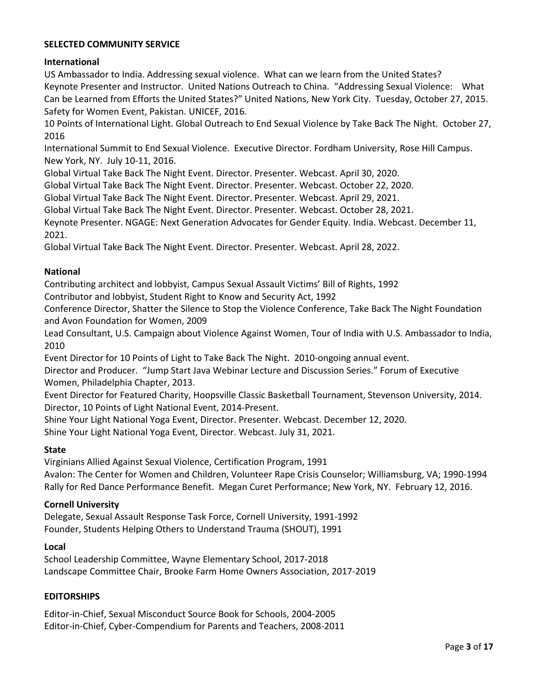### **SELECTED COMMUNITY SERVICE**

### **International**

US Ambassador to India. Addressing sexual violence. What can we learn from the United States? Keynote Presenter and Instructor. United Nations Outreach to China. "Addressing Sexual Violence: What Can be Learned from Efforts the United States?" United Nations, New York City. Tuesday, October 27, 2015. Safety for Women Event, Pakistan. UNICEF, 2016.

10 Points of International Light. Global Outreach to End Sexual Violence by Take Back The Night. October 27, 2016

International Summit to End Sexual Violence. Executive Director. Fordham University, Rose Hill Campus. New York, NY. July 10-11, 2016.

Global Virtual Take Back The Night Event. Director. Presenter. Webcast. April 30, 2020.

Global Virtual Take Back The Night Event. Director. Presenter. Webcast. October 22, 2020.

Global Virtual Take Back The Night Event. Director. Presenter. Webcast. April 29, 2021.

Global Virtual Take Back The Night Event. Director. Presenter. Webcast. October 28, 2021.

Keynote Presenter. NGAGE: Next Generation Advocates for Gender Equity. India. Webcast. December 11, 2021.

Global Virtual Take Back The Night Event. Director. Presenter. Webcast. April 28, 2022.

#### **National**

Contributing architect and lobbyist, Campus Sexual Assault Victims' Bill of Rights, 1992

Contributor and lobbyist, Student Right to Know and Security Act, 1992

Conference Director, Shatter the Silence to Stop the Violence Conference, Take Back The Night Foundation and Avon Foundation for Women, 2009

Lead Consultant, U.S. Campaign about Violence Against Women, Tour of India with U.S. Ambassador to India, 2010

Event Director for 10 Points of Light to Take Back The Night. 2010-ongoing annual event.

Director and Producer. "Jump Start Java Webinar Lecture and Discussion Series." Forum of Executive Women, Philadelphia Chapter, 2013.

Event Director for Featured Charity, Hoopsville Classic Basketball Tournament, Stevenson University, 2014. Director, 10 Points of Light National Event, 2014-Present.

Shine Your Light National Yoga Event, Director. Presenter. Webcast. December 12, 2020.

Shine Your Light National Yoga Event, Director. Webcast. July 31, 2021.

### **State**

Virginians Allied Against Sexual Violence, Certification Program, 1991

Avalon: The Center for Women and Children, Volunteer Rape Crisis Counselor; Williamsburg, VA; 1990-1994 Rally for Red Dance Performance Benefit. Megan Curet Performance; New York, NY. February 12, 2016.

#### **Cornell University**

Delegate, Sexual Assault Response Task Force, Cornell University, 1991-1992 Founder, Students Helping Others to Understand Trauma (SHOUT), 1991

#### **Local**

School Leadership Committee, Wayne Elementary School, 2017-2018 Landscape Committee Chair, Brooke Farm Home Owners Association, 2017-2019

#### **EDITORSHIPS**

Editor-in-Chief, Sexual Misconduct Source Book for Schools, 2004-2005 Editor-in-Chief, Cyber-Compendium for Parents and Teachers, 2008-2011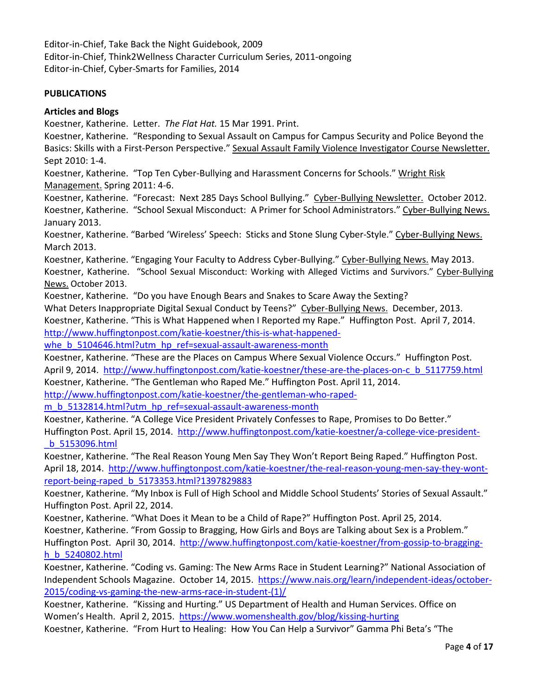Editor-in-Chief, Take Back the Night Guidebook, 2009 Editor-in-Chief, Think2Wellness Character Curriculum Series, 2011-ongoing Editor-in-Chief, Cyber-Smarts for Families, 2014

### **PUBLICATIONS**

### **Articles and Blogs**

Koestner, Katherine. Letter. *The Flat Hat.* 15 Mar 1991. Print.

Koestner, Katherine. "Responding to Sexual Assault on Campus for Campus Security and Police Beyond the Basics: Skills with a First-Person Perspective." Sexual Assault Family Violence Investigator Course Newsletter. Sept 2010: 1-4.

Koestner, Katherine. "Top Ten Cyber-Bullying and Harassment Concerns for Schools." Wright Risk Management. Spring 2011: 4-6.

Koestner, Katherine. "Forecast: Next 285 Days School Bullying." Cyber-Bullying Newsletter. October 2012. Koestner, Katherine. "School Sexual Misconduct: A Primer for School Administrators." Cyber-Bullying News. January 2013.

Koestner, Katherine. "Barbed 'Wireless' Speech: Sticks and Stone Slung Cyber-Style." Cyber-Bullying News. March 2013.

Koestner, Katherine. "Engaging Your Faculty to Address Cyber-Bullying." Cyber-Bullying News. May 2013. Koestner, Katherine. "School Sexual Misconduct: Working with Alleged Victims and Survivors." Cyber-Bullying News. October 2013.

Koestner, Katherine. "Do you have Enough Bears and Snakes to Scare Away the Sexting?

What Deters Inappropriate Digital Sexual Conduct by Teens?" Cyber-Bullying News. December, 2013.

Koestner, Katherine. "This is What Happened when I Reported my Rape." Huffington Post. April 7, 2014. [http://www.huffingtonpost.com/katie-koestner/this-is-what-happened-](http://www.huffingtonpost.com/katie-koestner/this-is-what-happened-whe_b_5104646.html?utm_hp_ref=sexual-assault-awareness-month)

whe b 5104646.html?utm\_hp\_ref=sexual-assault-awareness-month

Koestner, Katherine. "These are the Places on Campus Where Sexual Violence Occurs." Huffington Post. April 9, 2014. [http://www.huffingtonpost.com/katie-koestner/these-are-the-places-on-c\\_b\\_5117759.html](http://www.huffingtonpost.com/katie-koestner/these-are-the-places-on-c_b_5117759.html) Koestner, Katherine. "The Gentleman who Raped Me." Huffington Post. April 11, 2014.

[http://www.huffingtonpost.com/katie-koestner/the-gentleman-who-raped-](http://www.huffingtonpost.com/katie-koestner/the-gentleman-who-raped-m_b_5132814.html?utm_hp_ref=sexual-assault-awareness-month)

[m\\_b\\_5132814.html?utm\\_hp\\_ref=sexual-assault-awareness-month](http://www.huffingtonpost.com/katie-koestner/the-gentleman-who-raped-m_b_5132814.html?utm_hp_ref=sexual-assault-awareness-month)

Koestner, Katherine. "A College Vice President Privately Confesses to Rape, Promises to Do Better." Huffington Post. April 15, 2014. [http://www.huffingtonpost.com/katie-koestner/a-college-vice-president-](http://www.huffingtonpost.com/katie-koestner/a-college-vice-president-_b_5153096.html) [\\_b\\_5153096.html](http://www.huffingtonpost.com/katie-koestner/a-college-vice-president-_b_5153096.html)

Koestner, Katherine. "The Real Reason Young Men Say They Won't Report Being Raped." Huffington Post. April 18, 2014. [http://www.huffingtonpost.com/katie-koestner/the-real-reason-young-men-say-they-wont](http://www.huffingtonpost.com/katie-koestner/the-real-reason-young-men-say-they-wont-report-being-raped_b_5173353.html?1397829883)[report-being-raped\\_b\\_5173353.html?1397829883](http://www.huffingtonpost.com/katie-koestner/the-real-reason-young-men-say-they-wont-report-being-raped_b_5173353.html?1397829883)

Koestner, Katherine. "My Inbox is Full of High School and Middle School Students' Stories of Sexual Assault." Huffington Post. April 22, 2014.

Koestner, Katherine. "What Does it Mean to be a Child of Rape?" Huffington Post. April 25, 2014. Koestner, Katherine. "From Gossip to Bragging, How Girls and Boys are Talking about Sex is a Problem." Huffington Post. April 30, 2014. [http://www.huffingtonpost.com/katie-koestner/from-gossip-to-bragging](http://www.huffingtonpost.com/katie-koestner/from-gossip-to-bragging-h_b_5240802.html)[h\\_b\\_5240802.html](http://www.huffingtonpost.com/katie-koestner/from-gossip-to-bragging-h_b_5240802.html)

Koestner, Katherine. "Coding vs. Gaming: The New Arms Race in Student Learning?" National Association of Independent Schools Magazine. October 14, 2015. [https://www.nais.org/learn/independent-ideas/october-](https://www.nais.org/learn/independent-ideas/october-2015/coding-vs-gaming-the-new-arms-race-in-student-(1)/)[2015/coding-vs-gaming-the-new-arms-race-in-student-\(1\)/](https://www.nais.org/learn/independent-ideas/october-2015/coding-vs-gaming-the-new-arms-race-in-student-(1)/)

Koestner, Katherine. "Kissing and Hurting." US Department of Health and Human Services. Office on Women's Health. April 2, 2015. <https://www.womenshealth.gov/blog/kissing-hurting>

Koestner, Katherine. "From Hurt to Healing: How You Can Help a Survivor" Gamma Phi Beta's "The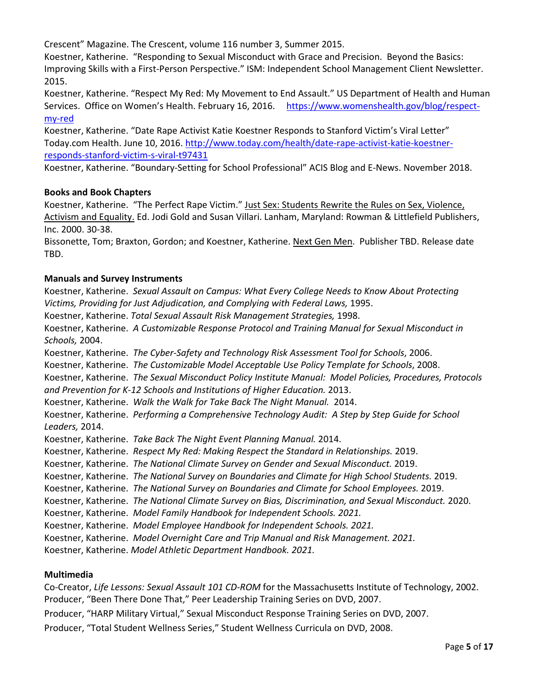Crescent" Magazine. The Crescent, volume 116 number 3, Summer 2015.

Koestner, Katherine. "Responding to Sexual Misconduct with Grace and Precision. Beyond the Basics: Improving Skills with a First-Person Perspective." ISM: Independent School Management Client Newsletter. 2015.

Koestner, Katherine. "Respect My Red: My Movement to End Assault." US Department of Health and Human Services. Office on Women's Health. February 16, 2016. [https://www.womenshealth.gov/blog/respect](https://www.womenshealth.gov/blog/respect-my-red)[my-red](https://www.womenshealth.gov/blog/respect-my-red)

Koestner, Katherine. "Date Rape Activist Katie Koestner Responds to Stanford Victim's Viral Letter" Today.com Health. June 10, 2016. [http://www.today.com/health/date-rape-activist-katie-koestner](http://www.today.com/health/date-rape-activist-katie-koestner-responds-stanford-victim-s-viral-t97431)[responds-stanford-victim-s-viral-t97431](http://www.today.com/health/date-rape-activist-katie-koestner-responds-stanford-victim-s-viral-t97431)

Koestner, Katherine. "Boundary-Setting for School Professional" ACIS Blog and E-News. November 2018.

## **Books and Book Chapters**

Koestner, Katherine. "The Perfect Rape Victim." Just Sex: Students Rewrite the Rules on Sex, Violence, Activism and Equality. Ed. Jodi Gold and Susan Villari. Lanham, Maryland: Rowman & Littlefield Publishers, Inc. 2000. 30-38.

Bissonette, Tom; Braxton, Gordon; and Koestner, Katherine. Next Gen Men. Publisher TBD. Release date TBD.

## **Manuals and Survey Instruments**

Koestner, Katherine. *Sexual Assault on Campus: What Every College Needs to Know About Protecting Victims, Providing for Just Adjudication, and Complying with Federal Laws,* 1995.

Koestner, Katherine. *Total Sexual Assault Risk Management Strategies,* 1998.

Koestner, Katherine. *A Customizable Response Protocol and Training Manual for Sexual Misconduct in Schools,* 2004.

Koestner, Katherine. *The Cyber-Safety and Technology Risk Assessment Tool for Schools*, 2006.

Koestner, Katherine. *The Customizable Model Acceptable Use Policy Template for Schools*, 2008.

Koestner, Katherine. *The Sexual Misconduct Policy Institute Manual: Model Policies, Procedures, Protocols and Prevention for K-12 Schools and Institutions of Higher Education.* 2013.

Koestner, Katherine. *Walk the Walk for Take Back The Night Manual.* 2014.

Koestner, Katherine. *Performing a Comprehensive Technology Audit: A Step by Step Guide for School Leaders,* 2014.

Koestner, Katherine. *Take Back The Night Event Planning Manual.* 2014.

Koestner, Katherine. *Respect My Red: Making Respect the Standard in Relationships.* 2019.

Koestner, Katherine. *The National Climate Survey on Gender and Sexual Misconduct.* 2019.

Koestner, Katherine. *The National Survey on Boundaries and Climate for High School Students.* 2019.

Koestner, Katherine. *The National Survey on Boundaries and Climate for School Employees.* 2019.

Koestner, Katherine. *The National Climate Survey on Bias, Discrimination, and Sexual Misconduct.* 2020.

Koestner, Katherine. *Model Family Handbook for Independent Schools. 2021.*

Koestner, Katherine. *Model Employee Handbook for Independent Schools. 2021.*

Koestner, Katherine. *Model Overnight Care and Trip Manual and Risk Management. 2021.*

Koestner, Katherine. *Model Athletic Department Handbook. 2021.*

### **Multimedia**

Co-Creator, *Life Lessons: Sexual Assault 101 CD-ROM* for the Massachusetts Institute of Technology, 2002. Producer, "Been There Done That," Peer Leadership Training Series on DVD, 2007.

Producer, "HARP Military Virtual," Sexual Misconduct Response Training Series on DVD, 2007.

Producer, "Total Student Wellness Series," Student Wellness Curricula on DVD, 2008.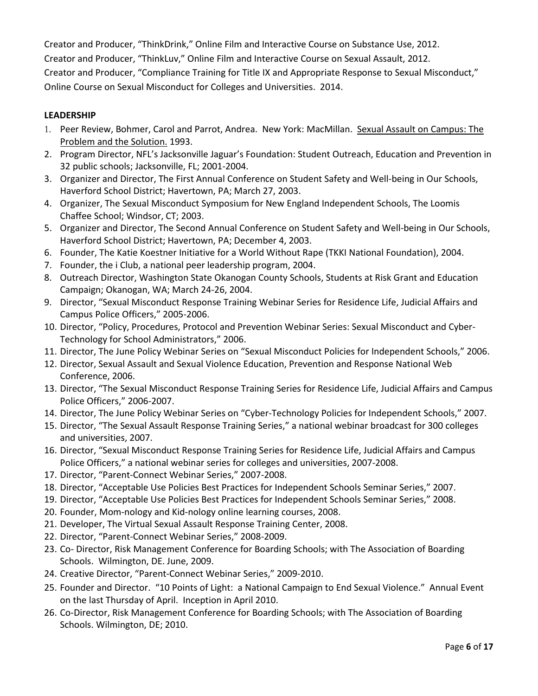Creator and Producer, "ThinkDrink," Online Film and Interactive Course on Substance Use, 2012. Creator and Producer, "ThinkLuv," Online Film and Interactive Course on Sexual Assault, 2012. Creator and Producer, "Compliance Training for Title IX and Appropriate Response to Sexual Misconduct," Online Course on Sexual Misconduct for Colleges and Universities. 2014.

## **LEADERSHIP**

- 1. Peer Review, Bohmer, Carol and Parrot, Andrea. New York: MacMillan. Sexual Assault on Campus: The Problem and the Solution. 1993.
- 2. Program Director, NFL's Jacksonville Jaguar's Foundation: Student Outreach, Education and Prevention in 32 public schools; Jacksonville, FL; 2001-2004.
- 3. Organizer and Director, The First Annual Conference on Student Safety and Well-being in Our Schools, Haverford School District; Havertown, PA; March 27, 2003.
- 4. Organizer, The Sexual Misconduct Symposium for New England Independent Schools, The Loomis Chaffee School; Windsor, CT; 2003.
- 5. Organizer and Director, The Second Annual Conference on Student Safety and Well-being in Our Schools, Haverford School District; Havertown, PA; December 4, 2003.
- 6. Founder, The Katie Koestner Initiative for a World Without Rape (TKKI National Foundation), 2004.
- 7. Founder, the i Club, a national peer leadership program, 2004.
- 8. Outreach Director, Washington State Okanogan County Schools, Students at Risk Grant and Education Campaign; Okanogan, WA; March 24-26, 2004.
- 9. Director, "Sexual Misconduct Response Training Webinar Series for Residence Life, Judicial Affairs and Campus Police Officers," 2005-2006.
- 10. Director, "Policy, Procedures, Protocol and Prevention Webinar Series: Sexual Misconduct and Cyber-Technology for School Administrators," 2006.
- 11. Director, The June Policy Webinar Series on "Sexual Misconduct Policies for Independent Schools," 2006.
- 12. Director, Sexual Assault and Sexual Violence Education, Prevention and Response National Web Conference, 2006.
- 13. Director, "The Sexual Misconduct Response Training Series for Residence Life, Judicial Affairs and Campus Police Officers," 2006-2007.
- 14. Director, The June Policy Webinar Series on "Cyber-Technology Policies for Independent Schools," 2007.
- 15. Director, "The Sexual Assault Response Training Series," a national webinar broadcast for 300 colleges and universities, 2007.
- 16. Director, "Sexual Misconduct Response Training Series for Residence Life, Judicial Affairs and Campus Police Officers," a national webinar series for colleges and universities, 2007-2008.
- 17. Director, "Parent-Connect Webinar Series," 2007-2008.
- 18. Director, "Acceptable Use Policies Best Practices for Independent Schools Seminar Series," 2007.
- 19. Director, "Acceptable Use Policies Best Practices for Independent Schools Seminar Series," 2008.
- 20. Founder, Mom-nology and Kid-nology online learning courses, 2008.
- 21. Developer, The Virtual Sexual Assault Response Training Center, 2008.
- 22. Director, "Parent-Connect Webinar Series," 2008-2009.
- 23. Co- Director, Risk Management Conference for Boarding Schools; with The Association of Boarding Schools. Wilmington, DE. June, 2009.
- 24. Creative Director, "Parent-Connect Webinar Series," 2009-2010.
- 25. Founder and Director. "10 Points of Light: a National Campaign to End Sexual Violence." Annual Event on the last Thursday of April. Inception in April 2010.
- 26. Co-Director, Risk Management Conference for Boarding Schools; with The Association of Boarding Schools. Wilmington, DE; 2010.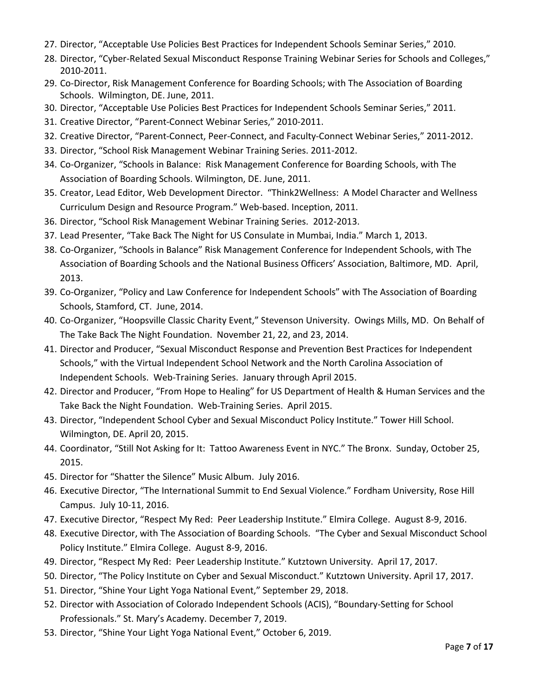- 27. Director, "Acceptable Use Policies Best Practices for Independent Schools Seminar Series," 2010.
- 28. Director, "Cyber-Related Sexual Misconduct Response Training Webinar Series for Schools and Colleges," 2010-2011.
- 29. Co-Director, Risk Management Conference for Boarding Schools; with The Association of Boarding Schools. Wilmington, DE. June, 2011.
- 30. Director, "Acceptable Use Policies Best Practices for Independent Schools Seminar Series," 2011.
- 31. Creative Director, "Parent-Connect Webinar Series," 2010-2011.
- 32. Creative Director, "Parent-Connect, Peer-Connect, and Faculty-Connect Webinar Series," 2011-2012.
- 33. Director, "School Risk Management Webinar Training Series. 2011-2012.
- 34. Co-Organizer, "Schools in Balance: Risk Management Conference for Boarding Schools, with The Association of Boarding Schools. Wilmington, DE. June, 2011.
- 35. Creator, Lead Editor, Web Development Director. "Think2Wellness: A Model Character and Wellness Curriculum Design and Resource Program." Web-based. Inception, 2011.
- 36. Director, "School Risk Management Webinar Training Series. 2012-2013.
- 37. Lead Presenter, "Take Back The Night for US Consulate in Mumbai, India." March 1, 2013.
- 38. Co-Organizer, "Schools in Balance" Risk Management Conference for Independent Schools, with The Association of Boarding Schools and the National Business Officers' Association, Baltimore, MD. April, 2013.
- 39. Co-Organizer, "Policy and Law Conference for Independent Schools" with The Association of Boarding Schools, Stamford, CT. June, 2014.
- 40. Co-Organizer, "Hoopsville Classic Charity Event," Stevenson University. Owings Mills, MD. On Behalf of The Take Back The Night Foundation. November 21, 22, and 23, 2014.
- 41. Director and Producer, "Sexual Misconduct Response and Prevention Best Practices for Independent Schools," with the Virtual Independent School Network and the North Carolina Association of Independent Schools. Web-Training Series. January through April 2015.
- 42. Director and Producer, "From Hope to Healing" for US Department of Health & Human Services and the Take Back the Night Foundation. Web-Training Series. April 2015.
- 43. Director, "Independent School Cyber and Sexual Misconduct Policy Institute." Tower Hill School. Wilmington, DE. April 20, 2015.
- 44. Coordinator, "Still Not Asking for It: Tattoo Awareness Event in NYC." The Bronx. Sunday, October 25, 2015.
- 45. Director for "Shatter the Silence" Music Album. July 2016.
- 46. Executive Director, "The International Summit to End Sexual Violence." Fordham University, Rose Hill Campus. July 10-11, 2016.
- 47. Executive Director, "Respect My Red: Peer Leadership Institute." Elmira College. August 8-9, 2016.
- 48. Executive Director, with The Association of Boarding Schools. "The Cyber and Sexual Misconduct School Policy Institute." Elmira College. August 8-9, 2016.
- 49. Director, "Respect My Red: Peer Leadership Institute." Kutztown University. April 17, 2017.
- 50. Director, "The Policy Institute on Cyber and Sexual Misconduct." Kutztown University. April 17, 2017.
- 51. Director, "Shine Your Light Yoga National Event," September 29, 2018.
- 52. Director with Association of Colorado Independent Schools (ACIS), "Boundary-Setting for School Professionals." St. Mary's Academy. December 7, 2019.
- 53. Director, "Shine Your Light Yoga National Event," October 6, 2019.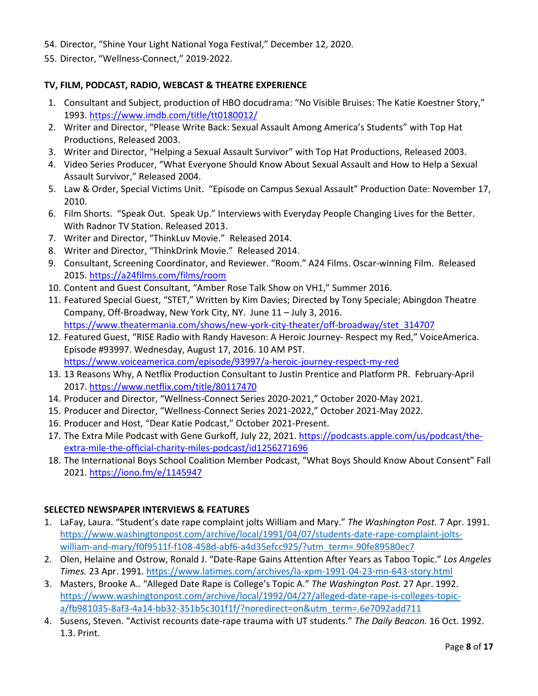- 54. Director, "Shine Your Light National Yoga Festival," December 12, 2020.
- 55. Director, "Wellness-Connect," 2019-2022.

## **TV, FILM, PODCAST, RADIO, WEBCAST & THEATRE EXPERIENCE**

- 1. Consultant and Subject, production of HBO docudrama: "No Visible Bruises: The Katie Koestner Story," 1993[. https://www.imdb.com/title/tt0180012/](https://www.imdb.com/title/tt0180012/)
- 2. Writer and Director, "Please Write Back: Sexual Assault Among America's Students" with Top Hat Productions, Released 2003.
- 3. Writer and Director, "Helping a Sexual Assault Survivor" with Top Hat Productions, Released 2003.
- 4. Video Series Producer, "What Everyone Should Know About Sexual Assault and How to Help a Sexual Assault Survivor," Released 2004.
- 5. Law & Order, Special Victims Unit. "Episode on Campus Sexual Assault" Production Date: November 17, 2010.
- 6. Film Shorts. "Speak Out. Speak Up." Interviews with Everyday People Changing Lives for the Better. With Radnor TV Station. Released 2013.
- 7. Writer and Director, "ThinkLuv Movie." Released 2014.
- 8. Writer and Director, "ThinkDrink Movie." Released 2014.
- 9. Consultant, Screening Coordinator, and Reviewer. "Room." A24 Films. Oscar-winning Film. Released 2015[. https://a24films.com/films/room](https://a24films.com/films/room)
- 10. Content and Guest Consultant, "Amber Rose Talk Show on VH1," Summer 2016.
- 11. Featured Special Guest, "STET," Written by Kim Davies; Directed by Tony Speciale; Abingdon Theatre Company, Off-Broadway, New York City, NY. June 11 – July 3, 2016. [https://www.theatermania.com/shows/new-york-city-theater/off-broadway/stet\\_314707](https://www.theatermania.com/shows/new-york-city-theater/off-broadway/stet_314707)
- 12. Featured Guest, "RISE Radio with Randy Haveson: A Heroic Journey- Respect my Red," VoiceAmerica. Episode #93997. Wednesday, August 17, 2016. 10 AM PST. <https://www.voiceamerica.com/episode/93997/a-heroic-journey-respect-my-red>
- 13. 13 Reasons Why, A Netflix Production Consultant to Justin Prentice and Platform PR. February-April 2017. <https://www.netflix.com/title/80117470>
- 14. Producer and Director, "Wellness-Connect Series 2020-2021," October 2020-May 2021.
- 15. Producer and Director, "Wellness-Connect Series 2021-2022," October 2021-May 2022.
- 16. Producer and Host, "Dear Katie Podcast," October 2021-Present.
- 17. The Extra Mile Podcast with Gene Gurkoff, July 22, 2021. [https://podcasts.apple.com/us/podcast/the](https://podcasts.apple.com/us/podcast/the-extra-mile-the-official-charity-miles-podcast/id1256271696)[extra-mile-the-official-charity-miles-podcast/id1256271696](https://podcasts.apple.com/us/podcast/the-extra-mile-the-official-charity-miles-podcast/id1256271696)
- 18. The International Boys School Coalition Member Podcast, "What Boys Should Know About Consent" Fall 2021[. https://iono.fm/e/1145947](https://iono.fm/e/1145947)

# **SELECTED NEWSPAPER INTERVIEWS & FEATURES**

- 1. LaFay, Laura. "Student's date rape complaint jolts William and Mary." *The Washington Post.* 7 Apr. 1991. [https://www.washingtonpost.com/archive/local/1991/04/07/students-date-rape-complaint-jolts](https://www.washingtonpost.com/archive/local/1991/04/07/students-date-rape-complaint-jolts-william-and-mary/f0f9511f-f108-458d-abf6-a4d35efcc925/?utm_term=.90fe89580ec7)[william-and-mary/f0f9511f-f108-458d-abf6-a4d35efcc925/?utm\\_term=.90fe89580ec7](https://www.washingtonpost.com/archive/local/1991/04/07/students-date-rape-complaint-jolts-william-and-mary/f0f9511f-f108-458d-abf6-a4d35efcc925/?utm_term=.90fe89580ec7)
- 2. Olen, Helaine and Ostrow, Ronald J. "Date-Rape Gains Attention After Years as Taboo Topic." *Los Angeles Times.* 23 Apr. 1991[. https://www.latimes.com/archives/la-xpm-1991-04-23-mn-643-story.html](https://www.latimes.com/archives/la-xpm-1991-04-23-mn-643-story.html)
- 3. Masters, Brooke A.. "Alleged Date Rape is College's Topic A." *The Washington Post.* 27 Apr. 1992. [https://www.washingtonpost.com/archive/local/1992/04/27/alleged-date-rape-is-colleges-topic](https://www.washingtonpost.com/archive/local/1992/04/27/alleged-date-rape-is-colleges-topic-a/fb981035-8af3-4a14-bb32-351b5c301f1f/?noredirect=on&utm_term=.6e7092add711)[a/fb981035-8af3-4a14-bb32-351b5c301f1f/?noredirect=on&utm\\_term=.6e7092add711](https://www.washingtonpost.com/archive/local/1992/04/27/alleged-date-rape-is-colleges-topic-a/fb981035-8af3-4a14-bb32-351b5c301f1f/?noredirect=on&utm_term=.6e7092add711)
- 4. Susens, Steven. "Activist recounts date-rape trauma with UT students." *The Daily Beacon.* 16 Oct. 1992. 1.3. Print.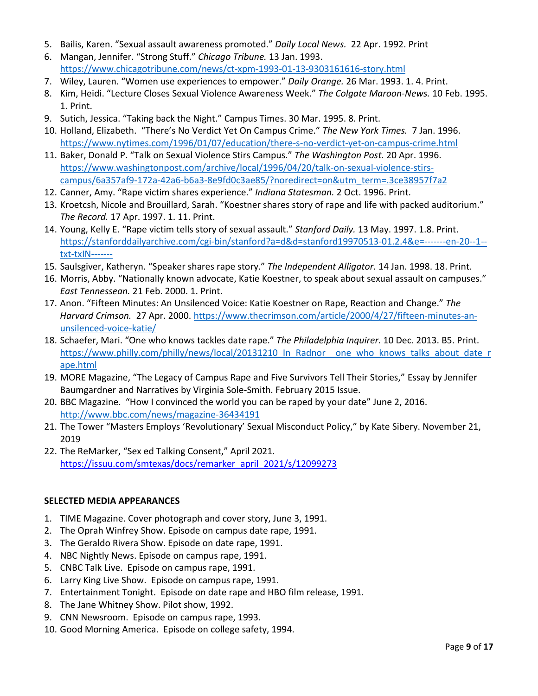- 5. Bailis, Karen. "Sexual assault awareness promoted." *Daily Local News.* 22 Apr. 1992. Print
- 6. Mangan, Jennifer. "Strong Stuff." *Chicago Tribune.* 13 Jan. 1993. <https://www.chicagotribune.com/news/ct-xpm-1993-01-13-9303161616-story.html>
- 7. Wiley, Lauren. "Women use experiences to empower." *Daily Orange.* 26 Mar. 1993. 1. 4. Print.
- 8. Kim, Heidi. "Lecture Closes Sexual Violence Awareness Week." *The Colgate Maroon-News.* 10 Feb. 1995. 1. Print.
- 9. Sutich, Jessica. "Taking back the Night." Campus Times. 30 Mar. 1995. 8. Print.
- 10. Holland, Elizabeth. "There's No Verdict Yet On Campus Crime." *The New York Times.* 7 Jan. 1996. <https://www.nytimes.com/1996/01/07/education/there-s-no-verdict-yet-on-campus-crime.html>
- 11. Baker, Donald P. "Talk on Sexual Violence Stirs Campus." *The Washington Post.* 20 Apr. 1996. [https://www.washingtonpost.com/archive/local/1996/04/20/talk-on-sexual-violence-stirs](https://www.washingtonpost.com/archive/local/1996/04/20/talk-on-sexual-violence-stirs-campus/6a357af9-172a-42a6-b6a3-8e9fd0c3ae85/?noredirect=on&utm_term=.3ce38957f7a2)[campus/6a357af9-172a-42a6-b6a3-8e9fd0c3ae85/?noredirect=on&utm\\_term=.3ce38957f7a2](https://www.washingtonpost.com/archive/local/1996/04/20/talk-on-sexual-violence-stirs-campus/6a357af9-172a-42a6-b6a3-8e9fd0c3ae85/?noredirect=on&utm_term=.3ce38957f7a2)
- 12. Canner, Amy. "Rape victim shares experience." *Indiana Statesman.* 2 Oct. 1996. Print.
- 13. Kroetcsh, Nicole and Brouillard, Sarah. "Koestner shares story of rape and life with packed auditorium." *The Record.* 17 Apr. 1997. 1. 11. Print.
- 14. Young, Kelly E. "Rape victim tells story of sexual assault." *Stanford Daily.* 13 May. 1997. 1.8. Print. [https://stanforddailyarchive.com/cgi-bin/stanford?a=d&d=stanford19970513-01.2.4&e=-------en-20--1-](https://stanforddailyarchive.com/cgi-bin/stanford?a=d&d=stanford19970513-01.2.4&e=-------en-20--1--txt-txIN-------) [txt-txIN-------](https://stanforddailyarchive.com/cgi-bin/stanford?a=d&d=stanford19970513-01.2.4&e=-------en-20--1--txt-txIN-------)
- 15. Saulsgiver, Katheryn. "Speaker shares rape story." *The Independent Alligator.* 14 Jan. 1998. 18. Print.
- 16. Morris, Abby. "Nationally known advocate, Katie Koestner, to speak about sexual assault on campuses." *East Tennessean.* 21 Feb. 2000. 1. Print.
- 17. Anon. "Fifteen Minutes: An Unsilenced Voice: Katie Koestner on Rape, Reaction and Change." *The Harvard Crimson.* 27 Apr. 2000. [https://www.thecrimson.com/article/2000/4/27/fifteen-minutes-an](https://www.thecrimson.com/article/2000/4/27/fifteen-minutes-an-unsilenced-voice-katie/)[unsilenced-voice-katie/](https://www.thecrimson.com/article/2000/4/27/fifteen-minutes-an-unsilenced-voice-katie/)
- 18. Schaefer, Mari. "One who knows tackles date rape." *The Philadelphia Inquirer.* 10 Dec. 2013. B5. Print. [https://www.philly.com/philly/news/local/20131210\\_In\\_Radnor\\_\\_one\\_who\\_knows\\_talks\\_about\\_date\\_r](https://www.philly.com/philly/news/local/20131210_In_Radnor__one_who_knows_talks_about_date_rape.html) [ape.html](https://www.philly.com/philly/news/local/20131210_In_Radnor__one_who_knows_talks_about_date_rape.html)
- 19. MORE Magazine, "The Legacy of Campus Rape and Five Survivors Tell Their Stories," Essay by Jennifer Baumgardner and Narratives by Virginia Sole-Smith. February 2015 Issue.
- 20. BBC Magazine. "How I convinced the world you can be raped by your date" June 2, 2016. <http://www.bbc.com/news/magazine-36434191>
- 21. The Tower "Masters Employs 'Revolutionary' Sexual Misconduct Policy," by Kate Sibery. November 21, 2019
- 22. The ReMarker, "Sex ed Talking Consent," April 2021. [https://issuu.com/smtexas/docs/remarker\\_april\\_2021/s/12099273](https://issuu.com/smtexas/docs/remarker_april_2021/s/12099273)

### **SELECTED MEDIA APPEARANCES**

- 1. TIME Magazine. Cover photograph and cover story, June 3, 1991.
- 2. The Oprah Winfrey Show. Episode on campus date rape, 1991.
- 3. The Geraldo Rivera Show. Episode on date rape, 1991.
- 4. NBC Nightly News. Episode on campus rape, 1991.
- 5. CNBC Talk Live. Episode on campus rape, 1991.
- 6. Larry King Live Show. Episode on campus rape, 1991.
- 7. Entertainment Tonight. Episode on date rape and HBO film release, 1991.
- 8. The Jane Whitney Show. Pilot show, 1992.
- 9. CNN Newsroom. Episode on campus rape, 1993.
- 10. Good Morning America. Episode on college safety, 1994.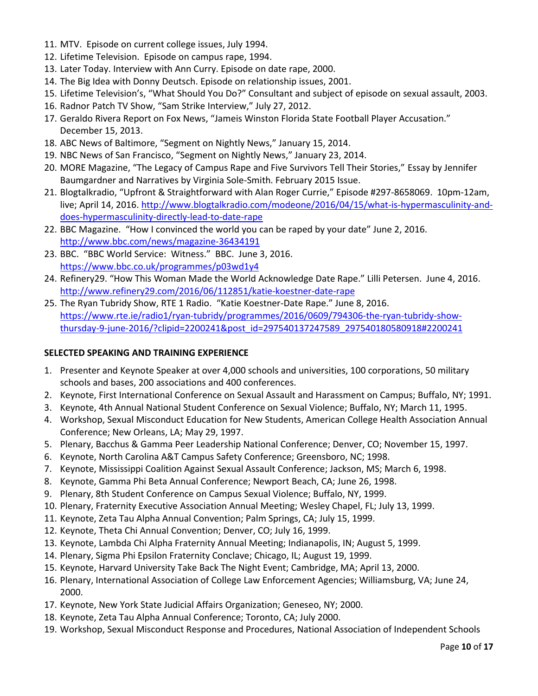- 11. MTV. Episode on current college issues, July 1994.
- 12. Lifetime Television. Episode on campus rape, 1994.
- 13. Later Today. Interview with Ann Curry. Episode on date rape, 2000.
- 14. The Big Idea with Donny Deutsch. Episode on relationship issues, 2001.
- 15. Lifetime Television's, "What Should You Do?" Consultant and subject of episode on sexual assault, 2003.
- 16. Radnor Patch TV Show, "Sam Strike Interview," July 27, 2012.
- 17. Geraldo Rivera Report on Fox News, "Jameis Winston Florida State Football Player Accusation." December 15, 2013.
- 18. ABC News of Baltimore, "Segment on Nightly News," January 15, 2014.
- 19. NBC News of San Francisco, "Segment on Nightly News," January 23, 2014.
- 20. MORE Magazine, "The Legacy of Campus Rape and Five Survivors Tell Their Stories," Essay by Jennifer Baumgardner and Narratives by Virginia Sole-Smith. February 2015 Issue.
- 21. Blogtalkradio, "Upfront & Straightforward with Alan Roger Currie," Episode #297-8658069. 10pm-12am, live; April 14, 2016. [http://www.blogtalkradio.com/modeone/2016/04/15/what-is-hypermasculinity-and](http://www.blogtalkradio.com/modeone/2016/04/15/what-is-hypermasculinity-and-does-hypermasculinity-directly-lead-to-date-rape)[does-hypermasculinity-directly-lead-to-date-rape](http://www.blogtalkradio.com/modeone/2016/04/15/what-is-hypermasculinity-and-does-hypermasculinity-directly-lead-to-date-rape)
- 22. BBC Magazine. "How I convinced the world you can be raped by your date" June 2, 2016. <http://www.bbc.com/news/magazine-36434191>
- 23. BBC. "BBC World Service: Witness." BBC. June 3, 2016. <https://www.bbc.co.uk/programmes/p03wd1y4>
- 24. Refinery29. "How This Woman Made the World Acknowledge Date Rape." Lilli Petersen. June 4, 2016. <http://www.refinery29.com/2016/06/112851/katie-koestner-date-rape>
- 25. The Ryan Tubridy Show, RTE 1 Radio. "Katie Koestner-Date Rape." June 8, 2016. [https://www.rte.ie/radio1/ryan-tubridy/programmes/2016/0609/794306-the-ryan-tubridy-show](https://www.rte.ie/radio1/ryan-tubridy/programmes/2016/0609/794306-the-ryan-tubridy-show-thursday-9-june-2016/?clipid=2200241&post_id=297540137247589_297540180580918#2200241)[thursday-9-june-2016/?clipid=2200241&post\\_id=297540137247589\\_297540180580918#2200241](https://www.rte.ie/radio1/ryan-tubridy/programmes/2016/0609/794306-the-ryan-tubridy-show-thursday-9-june-2016/?clipid=2200241&post_id=297540137247589_297540180580918#2200241)

### **SELECTED SPEAKING AND TRAINING EXPERIENCE**

- 1. Presenter and Keynote Speaker at over 4,000 schools and universities, 100 corporations, 50 military schools and bases, 200 associations and 400 conferences.
- 2. Keynote, First International Conference on Sexual Assault and Harassment on Campus; Buffalo, NY; 1991.
- 3. Keynote, 4th Annual National Student Conference on Sexual Violence; Buffalo, NY; March 11, 1995.
- 4. Workshop, Sexual Misconduct Education for New Students, American College Health Association Annual Conference; New Orleans, LA; May 29, 1997.
- 5. Plenary, Bacchus & Gamma Peer Leadership National Conference; Denver, CO; November 15, 1997.
- 6. Keynote, North Carolina A&T Campus Safety Conference; Greensboro, NC; 1998.
- 7. Keynote, Mississippi Coalition Against Sexual Assault Conference; Jackson, MS; March 6, 1998.
- 8. Keynote, Gamma Phi Beta Annual Conference; Newport Beach, CA; June 26, 1998.
- 9. Plenary, 8th Student Conference on Campus Sexual Violence; Buffalo, NY, 1999.
- 10. Plenary, Fraternity Executive Association Annual Meeting; Wesley Chapel, FL; July 13, 1999.
- 11. Keynote, Zeta Tau Alpha Annual Convention; Palm Springs, CA; July 15, 1999.
- 12. Keynote, Theta Chi Annual Convention; Denver, CO; July 16, 1999.
- 13. Keynote, Lambda Chi Alpha Fraternity Annual Meeting; Indianapolis, IN; August 5, 1999.
- 14. Plenary, Sigma Phi Epsilon Fraternity Conclave; Chicago, IL; August 19, 1999.
- 15. Keynote, Harvard University Take Back The Night Event; Cambridge, MA; April 13, 2000.
- 16. Plenary, International Association of College Law Enforcement Agencies; Williamsburg, VA; June 24, 2000.
- 17. Keynote, New York State Judicial Affairs Organization; Geneseo, NY; 2000.
- 18. Keynote, Zeta Tau Alpha Annual Conference; Toronto, CA; July 2000.
- 19. Workshop, Sexual Misconduct Response and Procedures, National Association of Independent Schools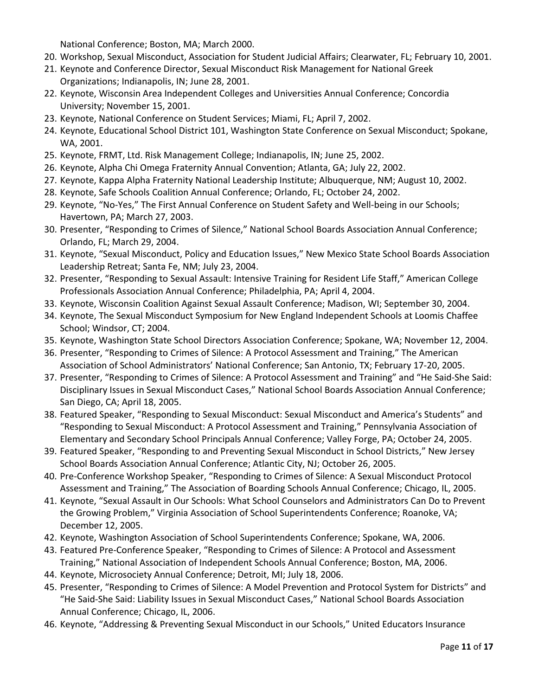National Conference; Boston, MA; March 2000.

- 20. Workshop, Sexual Misconduct, Association for Student Judicial Affairs; Clearwater, FL; February 10, 2001.
- 21. Keynote and Conference Director, Sexual Misconduct Risk Management for National Greek Organizations; Indianapolis, IN; June 28, 2001.
- 22. Keynote, Wisconsin Area Independent Colleges and Universities Annual Conference; Concordia University; November 15, 2001.
- 23. Keynote, National Conference on Student Services; Miami, FL; April 7, 2002.
- 24. Keynote, Educational School District 101, Washington State Conference on Sexual Misconduct; Spokane, WA, 2001.
- 25. Keynote, FRMT, Ltd. Risk Management College; Indianapolis, IN; June 25, 2002.
- 26. Keynote, Alpha Chi Omega Fraternity Annual Convention; Atlanta, GA; July 22, 2002.
- 27. Keynote, Kappa Alpha Fraternity National Leadership Institute; Albuquerque, NM; August 10, 2002.
- 28. Keynote, Safe Schools Coalition Annual Conference; Orlando, FL; October 24, 2002.
- 29. Keynote, "No-Yes," The First Annual Conference on Student Safety and Well-being in our Schools; Havertown, PA; March 27, 2003.
- 30. Presenter, "Responding to Crimes of Silence," National School Boards Association Annual Conference; Orlando, FL; March 29, 2004.
- 31. Keynote, "Sexual Misconduct, Policy and Education Issues," New Mexico State School Boards Association Leadership Retreat; Santa Fe, NM; July 23, 2004.
- 32. Presenter, "Responding to Sexual Assault: Intensive Training for Resident Life Staff," American College Professionals Association Annual Conference; Philadelphia, PA; April 4, 2004.
- 33. Keynote, Wisconsin Coalition Against Sexual Assault Conference; Madison, WI; September 30, 2004.
- 34. Keynote, The Sexual Misconduct Symposium for New England Independent Schools at Loomis Chaffee School; Windsor, CT; 2004.
- 35. Keynote, Washington State School Directors Association Conference; Spokane, WA; November 12, 2004.
- 36. Presenter, "Responding to Crimes of Silence: A Protocol Assessment and Training," The American Association of School Administrators' National Conference; San Antonio, TX; February 17-20, 2005.
- 37. Presenter, "Responding to Crimes of Silence: A Protocol Assessment and Training" and "He Said-She Said: Disciplinary Issues in Sexual Misconduct Cases," National School Boards Association Annual Conference; San Diego, CA; April 18, 2005.
- 38. Featured Speaker, "Responding to Sexual Misconduct: Sexual Misconduct and America's Students" and "Responding to Sexual Misconduct: A Protocol Assessment and Training," Pennsylvania Association of Elementary and Secondary School Principals Annual Conference; Valley Forge, PA; October 24, 2005.
- 39. Featured Speaker, "Responding to and Preventing Sexual Misconduct in School Districts," New Jersey School Boards Association Annual Conference; Atlantic City, NJ; October 26, 2005.
- 40. Pre-Conference Workshop Speaker, "Responding to Crimes of Silence: A Sexual Misconduct Protocol Assessment and Training," The Association of Boarding Schools Annual Conference; Chicago, IL, 2005.
- 41. Keynote, "Sexual Assault in Our Schools: What School Counselors and Administrators Can Do to Prevent the Growing Problem," Virginia Association of School Superintendents Conference; Roanoke, VA; December 12, 2005.
- 42. Keynote, Washington Association of School Superintendents Conference; Spokane, WA, 2006.
- 43. Featured Pre-Conference Speaker, "Responding to Crimes of Silence: A Protocol and Assessment Training," National Association of Independent Schools Annual Conference; Boston, MA, 2006.
- 44. Keynote, Microsociety Annual Conference; Detroit, MI; July 18, 2006.
- 45. Presenter, "Responding to Crimes of Silence: A Model Prevention and Protocol System for Districts" and "He Said-She Said: Liability Issues in Sexual Misconduct Cases," National School Boards Association Annual Conference; Chicago, IL, 2006.
- 46. Keynote, "Addressing & Preventing Sexual Misconduct in our Schools," United Educators Insurance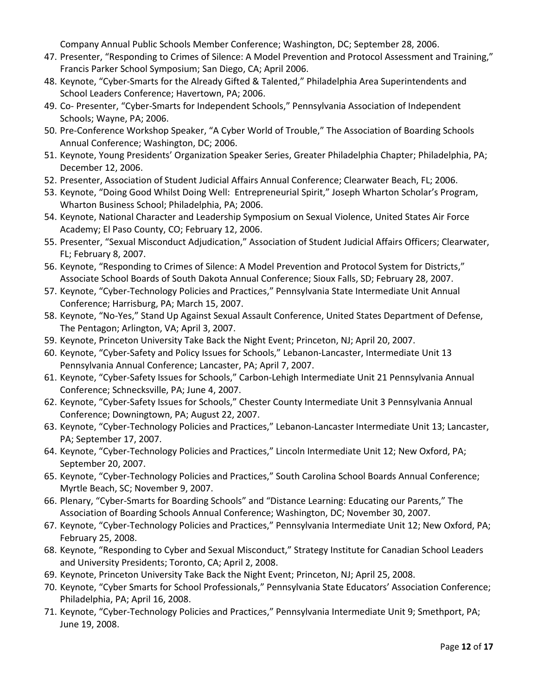Company Annual Public Schools Member Conference; Washington, DC; September 28, 2006.

- 47. Presenter, "Responding to Crimes of Silence: A Model Prevention and Protocol Assessment and Training," Francis Parker School Symposium; San Diego, CA; April 2006.
- 48. Keynote, "Cyber-Smarts for the Already Gifted & Talented," Philadelphia Area Superintendents and School Leaders Conference; Havertown, PA; 2006.
- 49. Co- Presenter, "Cyber-Smarts for Independent Schools," Pennsylvania Association of Independent Schools; Wayne, PA; 2006.
- 50. Pre-Conference Workshop Speaker, "A Cyber World of Trouble," The Association of Boarding Schools Annual Conference; Washington, DC; 2006.
- 51. Keynote, Young Presidents' Organization Speaker Series, Greater Philadelphia Chapter; Philadelphia, PA; December 12, 2006.
- 52. Presenter, Association of Student Judicial Affairs Annual Conference; Clearwater Beach, FL; 2006.
- 53. Keynote, "Doing Good Whilst Doing Well: Entrepreneurial Spirit," Joseph Wharton Scholar's Program, Wharton Business School; Philadelphia, PA; 2006.
- 54. Keynote, National Character and Leadership Symposium on Sexual Violence, United States Air Force Academy; El Paso County, CO; February 12, 2006.
- 55. Presenter, "Sexual Misconduct Adjudication," Association of Student Judicial Affairs Officers; Clearwater, FL; February 8, 2007.
- 56. Keynote, "Responding to Crimes of Silence: A Model Prevention and Protocol System for Districts," Associate School Boards of South Dakota Annual Conference; Sioux Falls, SD; February 28, 2007.
- 57. Keynote, "Cyber-Technology Policies and Practices," Pennsylvania State Intermediate Unit Annual Conference; Harrisburg, PA; March 15, 2007.
- 58. Keynote, "No-Yes," Stand Up Against Sexual Assault Conference, United States Department of Defense, The Pentagon; Arlington, VA; April 3, 2007.
- 59. Keynote, Princeton University Take Back the Night Event; Princeton, NJ; April 20, 2007.
- 60. Keynote, "Cyber-Safety and Policy Issues for Schools," Lebanon-Lancaster, Intermediate Unit 13 Pennsylvania Annual Conference; Lancaster, PA; April 7, 2007.
- 61. Keynote, "Cyber-Safety Issues for Schools," Carbon-Lehigh Intermediate Unit 21 Pennsylvania Annual Conference; Schnecksville, PA; June 4, 2007.
- 62. Keynote, "Cyber-Safety Issues for Schools," Chester County Intermediate Unit 3 Pennsylvania Annual Conference; Downingtown, PA; August 22, 2007.
- 63. Keynote, "Cyber-Technology Policies and Practices," Lebanon-Lancaster Intermediate Unit 13; Lancaster, PA; September 17, 2007.
- 64. Keynote, "Cyber-Technology Policies and Practices," Lincoln Intermediate Unit 12; New Oxford, PA; September 20, 2007.
- 65. Keynote, "Cyber-Technology Policies and Practices," South Carolina School Boards Annual Conference; Myrtle Beach, SC; November 9, 2007.
- 66. Plenary, "Cyber-Smarts for Boarding Schools" and "Distance Learning: Educating our Parents," The Association of Boarding Schools Annual Conference; Washington, DC; November 30, 2007.
- 67. Keynote, "Cyber-Technology Policies and Practices," Pennsylvania Intermediate Unit 12; New Oxford, PA; February 25, 2008.
- 68. Keynote, "Responding to Cyber and Sexual Misconduct," Strategy Institute for Canadian School Leaders and University Presidents; Toronto, CA; April 2, 2008.
- 69. Keynote, Princeton University Take Back the Night Event; Princeton, NJ; April 25, 2008.
- 70. Keynote, "Cyber Smarts for School Professionals," Pennsylvania State Educators' Association Conference; Philadelphia, PA; April 16, 2008.
- 71. Keynote, "Cyber-Technology Policies and Practices," Pennsylvania Intermediate Unit 9; Smethport, PA; June 19, 2008.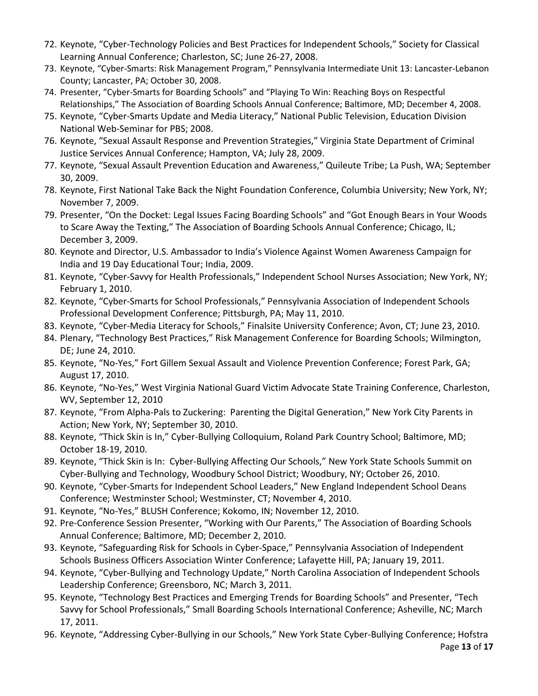- 72. Keynote, "Cyber-Technology Policies and Best Practices for Independent Schools," Society for Classical Learning Annual Conference; Charleston, SC; June 26-27, 2008.
- 73. Keynote, "Cyber-Smarts: Risk Management Program," Pennsylvania Intermediate Unit 13: Lancaster-Lebanon County; Lancaster, PA; October 30, 2008.
- 74. Presenter, "Cyber-Smarts for Boarding Schools" and "Playing To Win: Reaching Boys on Respectful Relationships," The Association of Boarding Schools Annual Conference; Baltimore, MD; December 4, 2008.
- 75. Keynote, "Cyber-Smarts Update and Media Literacy," National Public Television, Education Division National Web-Seminar for PBS; 2008.
- 76. Keynote, "Sexual Assault Response and Prevention Strategies," Virginia State Department of Criminal Justice Services Annual Conference; Hampton, VA; July 28, 2009.
- 77. Keynote, "Sexual Assault Prevention Education and Awareness," Quileute Tribe; La Push, WA; September 30, 2009.
- 78. Keynote, First National Take Back the Night Foundation Conference, Columbia University; New York, NY; November 7, 2009.
- 79. Presenter, "On the Docket: Legal Issues Facing Boarding Schools" and "Got Enough Bears in Your Woods to Scare Away the Texting," The Association of Boarding Schools Annual Conference; Chicago, IL; December 3, 2009.
- 80. Keynote and Director, U.S. Ambassador to India's Violence Against Women Awareness Campaign for India and 19 Day Educational Tour; India, 2009.
- 81. Keynote, "Cyber-Savvy for Health Professionals," Independent School Nurses Association; New York, NY; February 1, 2010.
- 82. Keynote, "Cyber-Smarts for School Professionals," Pennsylvania Association of Independent Schools Professional Development Conference; Pittsburgh, PA; May 11, 2010.
- 83. Keynote, "Cyber-Media Literacy for Schools," Finalsite University Conference; Avon, CT; June 23, 2010.
- 84. Plenary, "Technology Best Practices," Risk Management Conference for Boarding Schools; Wilmington, DE; June 24, 2010.
- 85. Keynote, "No-Yes," Fort Gillem Sexual Assault and Violence Prevention Conference; Forest Park, GA; August 17, 2010.
- 86. Keynote, "No-Yes," West Virginia National Guard Victim Advocate State Training Conference, Charleston, WV, September 12, 2010
- 87. Keynote, "From Alpha-Pals to Zuckering: Parenting the Digital Generation," New York City Parents in Action; New York, NY; September 30, 2010.
- 88. Keynote, "Thick Skin is In," Cyber-Bullying Colloquium, Roland Park Country School; Baltimore, MD; October 18-19, 2010.
- 89. Keynote, "Thick Skin is In: Cyber-Bullying Affecting Our Schools," New York State Schools Summit on Cyber-Bullying and Technology, Woodbury School District; Woodbury, NY; October 26, 2010.
- 90. Keynote, "Cyber-Smarts for Independent School Leaders," New England Independent School Deans Conference; Westminster School; Westminster, CT; November 4, 2010.
- 91. Keynote, "No-Yes," BLUSH Conference; Kokomo, IN; November 12, 2010.
- 92. Pre-Conference Session Presenter, "Working with Our Parents," The Association of Boarding Schools Annual Conference; Baltimore, MD; December 2, 2010.
- 93. Keynote, "Safeguarding Risk for Schools in Cyber-Space," Pennsylvania Association of Independent Schools Business Officers Association Winter Conference; Lafayette Hill, PA; January 19, 2011.
- 94. Keynote, "Cyber-Bullying and Technology Update," North Carolina Association of Independent Schools Leadership Conference; Greensboro, NC; March 3, 2011.
- 95. Keynote, "Technology Best Practices and Emerging Trends for Boarding Schools" and Presenter, "Tech Savvy for School Professionals," Small Boarding Schools International Conference; Asheville, NC; March 17, 2011.
- 96. Keynote, "Addressing Cyber-Bullying in our Schools," New York State Cyber-Bullying Conference; Hofstra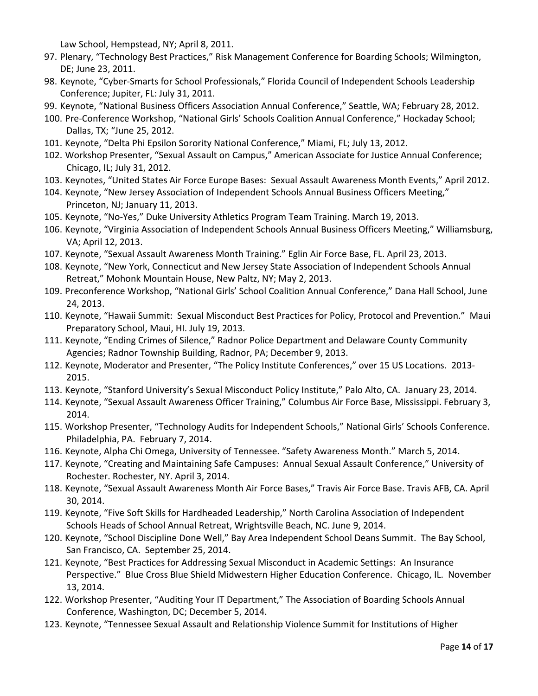Law School, Hempstead, NY; April 8, 2011.

- 97. Plenary, "Technology Best Practices," Risk Management Conference for Boarding Schools; Wilmington, DE; June 23, 2011.
- 98. Keynote, "Cyber-Smarts for School Professionals," Florida Council of Independent Schools Leadership Conference; Jupiter, FL: July 31, 2011.
- 99. Keynote, "National Business Officers Association Annual Conference," Seattle, WA; February 28, 2012.
- 100. Pre-Conference Workshop, "National Girls' Schools Coalition Annual Conference," Hockaday School; Dallas, TX; "June 25, 2012.
- 101. Keynote, "Delta Phi Epsilon Sorority National Conference," Miami, FL; July 13, 2012.
- 102. Workshop Presenter, "Sexual Assault on Campus," American Associate for Justice Annual Conference; Chicago, IL; July 31, 2012.
- 103. Keynotes, "United States Air Force Europe Bases: Sexual Assault Awareness Month Events," April 2012.
- 104. Keynote, "New Jersey Association of Independent Schools Annual Business Officers Meeting," Princeton, NJ; January 11, 2013.
- 105. Keynote, "No-Yes," Duke University Athletics Program Team Training. March 19, 2013.
- 106. Keynote, "Virginia Association of Independent Schools Annual Business Officers Meeting," Williamsburg, VA; April 12, 2013.
- 107. Keynote, "Sexual Assault Awareness Month Training." Eglin Air Force Base, FL. April 23, 2013.
- 108. Keynote, "New York, Connecticut and New Jersey State Association of Independent Schools Annual Retreat," Mohonk Mountain House, New Paltz, NY; May 2, 2013.
- 109. Preconference Workshop, "National Girls' School Coalition Annual Conference," Dana Hall School, June 24, 2013.
- 110. Keynote, "Hawaii Summit: Sexual Misconduct Best Practices for Policy, Protocol and Prevention." Maui Preparatory School, Maui, HI. July 19, 2013.
- 111. Keynote, "Ending Crimes of Silence," Radnor Police Department and Delaware County Community Agencies; Radnor Township Building, Radnor, PA; December 9, 2013.
- 112. Keynote, Moderator and Presenter, "The Policy Institute Conferences," over 15 US Locations. 2013- 2015.
- 113. Keynote, "Stanford University's Sexual Misconduct Policy Institute," Palo Alto, CA. January 23, 2014.
- 114. Keynote, "Sexual Assault Awareness Officer Training," Columbus Air Force Base, Mississippi. February 3, 2014.
- 115. Workshop Presenter, "Technology Audits for Independent Schools," National Girls' Schools Conference. Philadelphia, PA. February 7, 2014.
- 116. Keynote, Alpha Chi Omega, University of Tennessee. "Safety Awareness Month." March 5, 2014.
- 117. Keynote, "Creating and Maintaining Safe Campuses: Annual Sexual Assault Conference," University of Rochester. Rochester, NY. April 3, 2014.
- 118. Keynote, "Sexual Assault Awareness Month Air Force Bases," Travis Air Force Base. Travis AFB, CA. April 30, 2014.
- 119. Keynote, "Five Soft Skills for Hardheaded Leadership," North Carolina Association of Independent Schools Heads of School Annual Retreat, Wrightsville Beach, NC. June 9, 2014.
- 120. Keynote, "School Discipline Done Well," Bay Area Independent School Deans Summit. The Bay School, San Francisco, CA. September 25, 2014.
- 121. Keynote, "Best Practices for Addressing Sexual Misconduct in Academic Settings: An Insurance Perspective." Blue Cross Blue Shield Midwestern Higher Education Conference. Chicago, IL. November 13, 2014.
- 122. Workshop Presenter, "Auditing Your IT Department," The Association of Boarding Schools Annual Conference, Washington, DC; December 5, 2014.
- 123. Keynote, "Tennessee Sexual Assault and Relationship Violence Summit for Institutions of Higher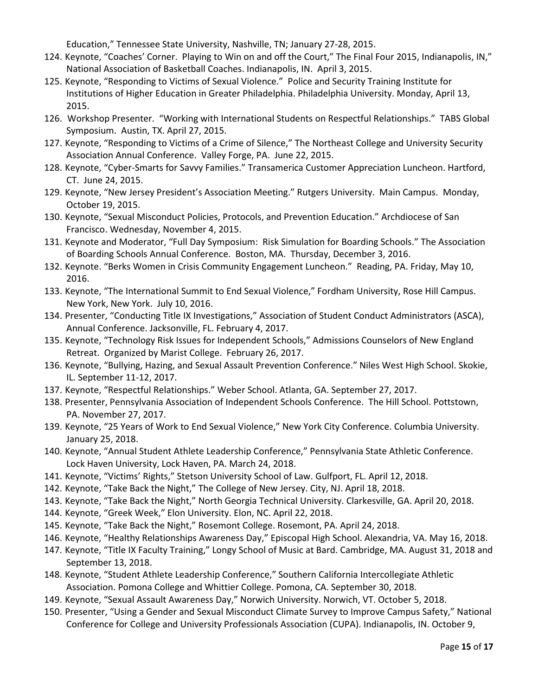Education," Tennessee State University, Nashville, TN; January 27-28, 2015.

- 124. Keynote, "Coaches' Corner. Playing to Win on and off the Court," The Final Four 2015, Indianapolis, IN," National Association of Basketball Coaches. Indianapolis, IN. April 3, 2015.
- 125. Keynote, "Responding to Victims of Sexual Violence." Police and Security Training Institute for Institutions of Higher Education in Greater Philadelphia. Philadelphia University. Monday, April 13, 2015.
- 126. Workshop Presenter. "Working with International Students on Respectful Relationships." TABS Global Symposium. Austin, TX. April 27, 2015.
- 127. Keynote, "Responding to Victims of a Crime of Silence," The Northeast College and University Security Association Annual Conference. Valley Forge, PA. June 22, 2015.
- 128. Keynote, "Cyber-Smarts for Savvy Families." Transamerica Customer Appreciation Luncheon. Hartford, CT. June 24, 2015.
- 129. Keynote, "New Jersey President's Association Meeting." Rutgers University. Main Campus. Monday, October 19, 2015.
- 130. Keynote, "Sexual Misconduct Policies, Protocols, and Prevention Education." Archdiocese of San Francisco. Wednesday, November 4, 2015.
- 131. Keynote and Moderator, "Full Day Symposium: Risk Simulation for Boarding Schools." The Association of Boarding Schools Annual Conference. Boston, MA. Thursday, December 3, 2016.
- 132. Keynote. "Berks Women in Crisis Community Engagement Luncheon." Reading, PA. Friday, May 10, 2016.
- 133. Keynote, "The International Summit to End Sexual Violence," Fordham University, Rose Hill Campus. New York, New York. July 10, 2016.
- 134. Presenter, "Conducting Title IX Investigations," Association of Student Conduct Administrators (ASCA), Annual Conference. Jacksonville, FL. February 4, 2017.
- 135. Keynote, "Technology Risk Issues for Independent Schools," Admissions Counselors of New England Retreat. Organized by Marist College. February 26, 2017.
- 136. Keynote, "Bullying, Hazing, and Sexual Assault Prevention Conference." Niles West High School. Skokie, IL. September 11-12, 2017.
- 137. Keynote, "Respectful Relationships." Weber School. Atlanta, GA. September 27, 2017.
- 138. Presenter, Pennsylvania Association of Independent Schools Conference. The Hill School. Pottstown, PA. November 27, 2017.
- 139. Keynote, "25 Years of Work to End Sexual Violence," New York City Conference. Columbia University. January 25, 2018.
- 140. Keynote, "Annual Student Athlete Leadership Conference," Pennsylvania State Athletic Conference. Lock Haven University, Lock Haven, PA. March 24, 2018.
- 141. Keynote, "Victims' Rights," Stetson University School of Law. Gulfport, FL. April 12, 2018.
- 142. Keynote, "Take Back the Night," The College of New Jersey. City, NJ. April 18, 2018.
- 143. Keynote, "Take Back the Night," North Georgia Technical University. Clarkesville, GA. April 20, 2018.
- 144. Keynote, "Greek Week," Elon University. Elon, NC. April 22, 2018.
- 145. Keynote, "Take Back the Night," Rosemont College. Rosemont, PA. April 24, 2018.
- 146. Keynote, "Healthy Relationships Awareness Day," Episcopal High School. Alexandria, VA. May 16, 2018.
- 147. Keynote, "Title IX Faculty Training," Longy School of Music at Bard. Cambridge, MA. August 31, 2018 and September 13, 2018.
- 148. Keynote, "Student Athlete Leadership Conference," Southern California Intercollegiate Athletic Association. Pomona College and Whittier College. Pomona, CA. September 30, 2018.
- 149. Keynote, "Sexual Assault Awareness Day," Norwich University. Norwich, VT. October 5, 2018.
- 150. Presenter, "Using a Gender and Sexual Misconduct Climate Survey to Improve Campus Safety," National Conference for College and University Professionals Association (CUPA). Indianapolis, IN. October 9,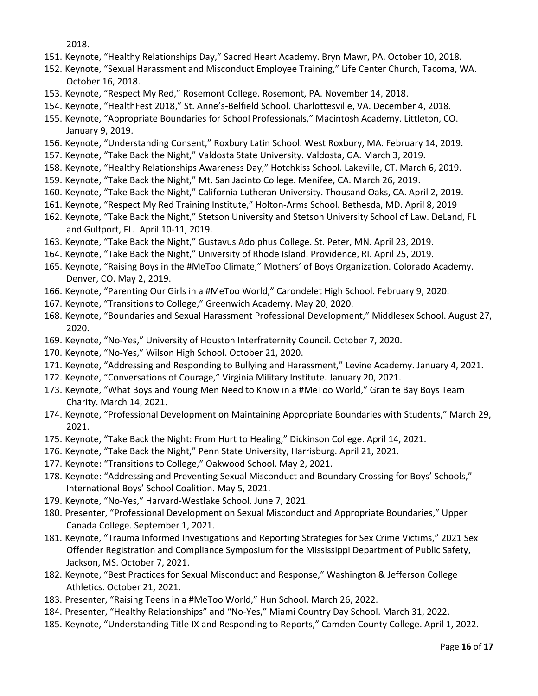2018.

- 151. Keynote, "Healthy Relationships Day," Sacred Heart Academy. Bryn Mawr, PA. October 10, 2018.
- 152. Keynote, "Sexual Harassment and Misconduct Employee Training," Life Center Church, Tacoma, WA. October 16, 2018.
- 153. Keynote, "Respect My Red," Rosemont College. Rosemont, PA. November 14, 2018.
- 154. Keynote, "HealthFest 2018," St. Anne's-Belfield School. Charlottesville, VA. December 4, 2018.
- 155. Keynote, "Appropriate Boundaries for School Professionals," Macintosh Academy. Littleton, CO. January 9, 2019.
- 156. Keynote, "Understanding Consent," Roxbury Latin School. West Roxbury, MA. February 14, 2019.
- 157. Keynote, "Take Back the Night," Valdosta State University. Valdosta, GA. March 3, 2019.
- 158. Keynote, "Healthy Relationships Awareness Day," Hotchkiss School. Lakeville, CT. March 6, 2019.
- 159. Keynote, "Take Back the Night," Mt. San Jacinto College. Menifee, CA. March 26, 2019.
- 160. Keynote, "Take Back the Night," California Lutheran University. Thousand Oaks, CA. April 2, 2019.
- 161. Keynote, "Respect My Red Training Institute," Holton-Arms School. Bethesda, MD. April 8, 2019
- 162. Keynote, "Take Back the Night," Stetson University and Stetson University School of Law. DeLand, FL and Gulfport, FL. April 10-11, 2019.
- 163. Keynote, "Take Back the Night," Gustavus Adolphus College. St. Peter, MN. April 23, 2019.
- 164. Keynote, "Take Back the Night," University of Rhode Island. Providence, RI. April 25, 2019.
- 165. Keynote, "Raising Boys in the #MeToo Climate," Mothers' of Boys Organization. Colorado Academy. Denver, CO. May 2, 2019.
- 166. Keynote, "Parenting Our Girls in a #MeToo World," Carondelet High School. February 9, 2020.
- 167. Keynote, "Transitions to College," Greenwich Academy. May 20, 2020.
- 168. Keynote, "Boundaries and Sexual Harassment Professional Development," Middlesex School. August 27, 2020.
- 169. Keynote, "No-Yes," University of Houston Interfraternity Council. October 7, 2020.
- 170. Keynote, "No-Yes," Wilson High School. October 21, 2020.
- 171. Keynote, "Addressing and Responding to Bullying and Harassment," Levine Academy. January 4, 2021.
- 172. Keynote, "Conversations of Courage," Virginia Military Institute. January 20, 2021.
- 173. Keynote, "What Boys and Young Men Need to Know in a #MeToo World," Granite Bay Boys Team Charity. March 14, 2021.
- 174. Keynote, "Professional Development on Maintaining Appropriate Boundaries with Students," March 29, 2021.
- 175. Keynote, "Take Back the Night: From Hurt to Healing," Dickinson College. April 14, 2021.
- 176. Keynote, "Take Back the Night," Penn State University, Harrisburg. April 21, 2021.
- 177. Keynote: "Transitions to College," Oakwood School. May 2, 2021.
- 178. Keynote: "Addressing and Preventing Sexual Misconduct and Boundary Crossing for Boys' Schools," International Boys' School Coalition. May 5, 2021.
- 179. Keynote, "No-Yes," Harvard-Westlake School. June 7, 2021.
- 180. Presenter, "Professional Development on Sexual Misconduct and Appropriate Boundaries," Upper Canada College. September 1, 2021.
- 181. Keynote, "Trauma Informed Investigations and Reporting Strategies for Sex Crime Victims," 2021 Sex Offender Registration and Compliance Symposium for the Mississippi Department of Public Safety, Jackson, MS. October 7, 2021.
- 182. Keynote, "Best Practices for Sexual Misconduct and Response," Washington & Jefferson College Athletics. October 21, 2021.
- 183. Presenter, "Raising Teens in a #MeToo World," Hun School. March 26, 2022.
- 184. Presenter, "Healthy Relationships" and "No-Yes," Miami Country Day School. March 31, 2022.
- 185. Keynote, "Understanding Title IX and Responding to Reports," Camden County College. April 1, 2022.